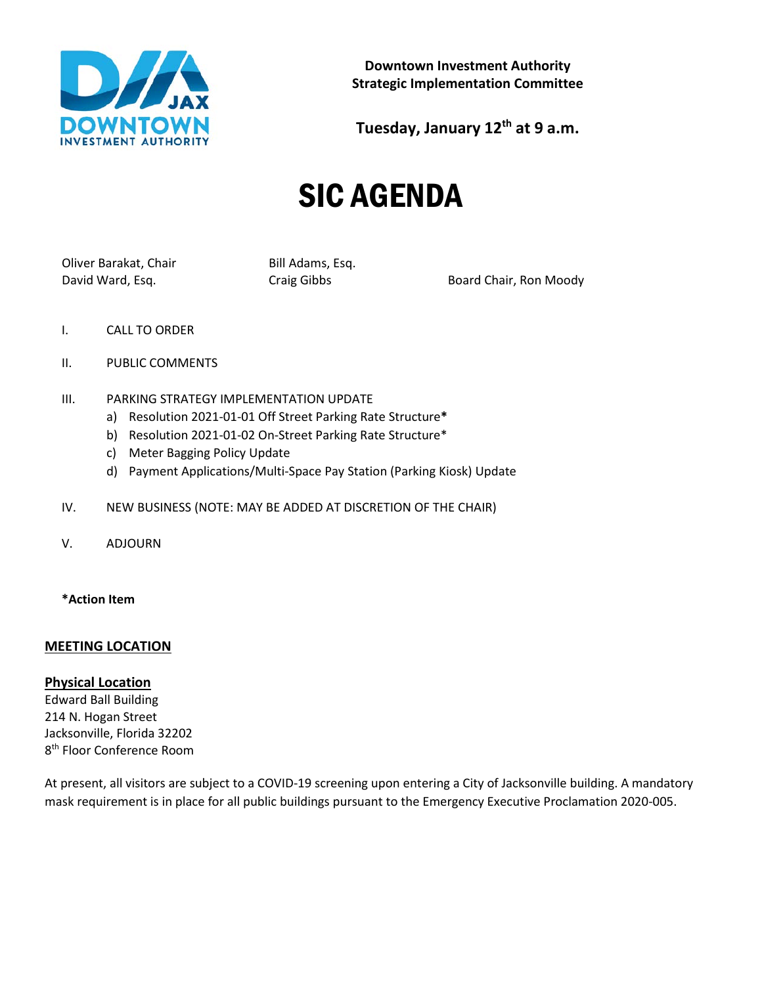

**Downtown Investment Authority Strategic Implementation Committee**

**Tuesday, January 12th at 9 a.m.**

# SIC AGENDA

Oliver Barakat, Chair Bill Adams, Esq.

David Ward, Esq. The Craig Gibbs Craig Gibbs Board Chair, Ron Moody

- I. CALL TO ORDER
- II. PUBLIC COMMENTS
- III. PARKING STRATEGY IMPLEMENTATION UPDATE
	- a) Resolution 2021-01-01 Off Street Parking Rate Structure**\***
	- b) Resolution 2021-01-02 On-Street Parking Rate Structure\*
	- c) Meter Bagging Policy Update
	- d) Payment Applications/Multi-Space Pay Station (Parking Kiosk) Update
- IV. NEW BUSINESS (NOTE: MAY BE ADDED AT DISCRETION OF THE CHAIR)
- V. ADJOURN
- **\*Action Item**

## **MEETING LOCATION**

### **Physical Location**

Edward Ball Building 214 N. Hogan Street Jacksonville, Florida 32202 8<sup>th</sup> Floor Conference Room

At present, all visitors are subject to a COVID-19 screening upon entering a City of Jacksonville building. A mandatory mask requirement is in place for all public buildings pursuant to the Emergency Executive Proclamation 2020-005.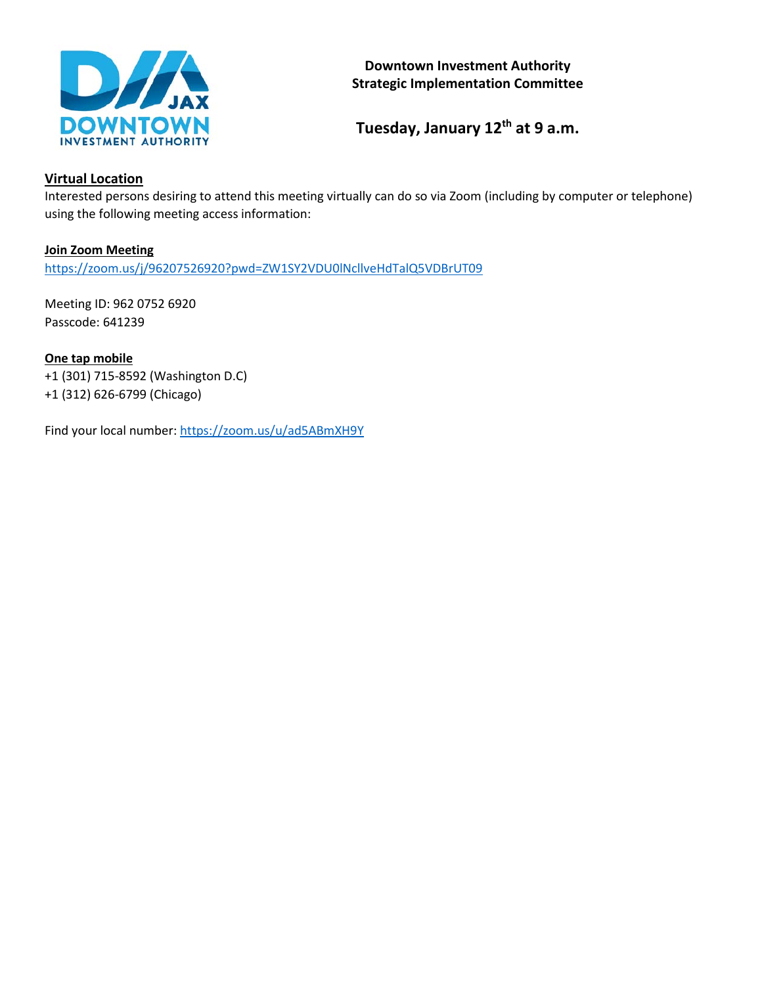

## **Downtown Investment Authority Strategic Implementation Committee**

**Tuesday, January 12th at 9 a.m.**

# **Virtual Location**

Interested persons desiring to attend this meeting virtually can do so via Zoom (including by computer or telephone) using the following meeting access information:

## **Join Zoom Meeting**

<https://zoom.us/j/96207526920?pwd=ZW1SY2VDU0lNcllveHdTalQ5VDBrUT09>

Meeting ID: 962 0752 6920 Passcode: 641239

**One tap mobile** +1 (301) 715-8592 (Washington D.C) +1 (312) 626-6799 (Chicago)

Find your local number[: https://zoom.us/u/ad5ABmXH9Y](https://zoom.us/u/ad5ABmXH9Y)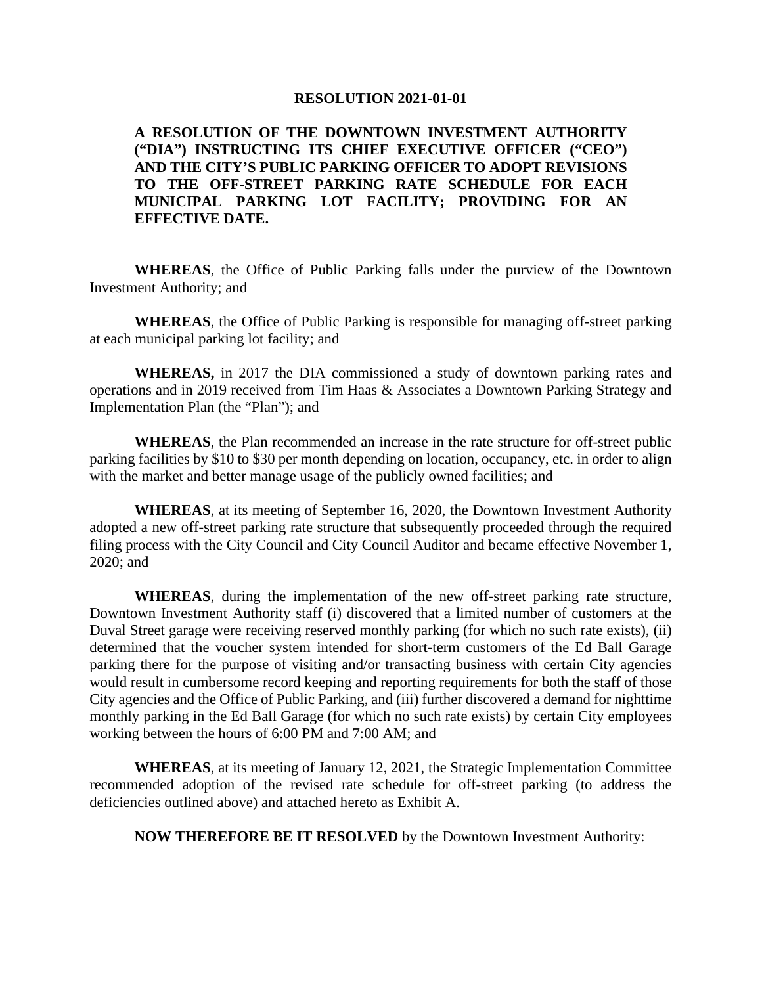### **RESOLUTION 2021-01-01**

**A RESOLUTION OF THE DOWNTOWN INVESTMENT AUTHORITY ("DIA") INSTRUCTING ITS CHIEF EXECUTIVE OFFICER ("CEO") AND THE CITY'S PUBLIC PARKING OFFICER TO ADOPT REVISIONS TO THE OFF-STREET PARKING RATE SCHEDULE FOR EACH MUNICIPAL PARKING LOT FACILITY; PROVIDING FOR AN EFFECTIVE DATE.**

**WHEREAS**, the Office of Public Parking falls under the purview of the Downtown Investment Authority; and

**WHEREAS**, the Office of Public Parking is responsible for managing off-street parking at each municipal parking lot facility; and

**WHEREAS,** in 2017 the DIA commissioned a study of downtown parking rates and operations and in 2019 received from Tim Haas & Associates a Downtown Parking Strategy and Implementation Plan (the "Plan"); and

**WHEREAS**, the Plan recommended an increase in the rate structure for off-street public parking facilities by \$10 to \$30 per month depending on location, occupancy, etc. in order to align with the market and better manage usage of the publicly owned facilities; and

**WHEREAS**, at its meeting of September 16, 2020, the Downtown Investment Authority adopted a new off-street parking rate structure that subsequently proceeded through the required filing process with the City Council and City Council Auditor and became effective November 1, 2020; and

**WHEREAS**, during the implementation of the new off-street parking rate structure, Downtown Investment Authority staff (i) discovered that a limited number of customers at the Duval Street garage were receiving reserved monthly parking (for which no such rate exists), (ii) determined that the voucher system intended for short-term customers of the Ed Ball Garage parking there for the purpose of visiting and/or transacting business with certain City agencies would result in cumbersome record keeping and reporting requirements for both the staff of those City agencies and the Office of Public Parking, and (iii) further discovered a demand for nighttime monthly parking in the Ed Ball Garage (for which no such rate exists) by certain City employees working between the hours of 6:00 PM and 7:00 AM; and

**WHEREAS**, at its meeting of January 12, 2021, the Strategic Implementation Committee recommended adoption of the revised rate schedule for off-street parking (to address the deficiencies outlined above) and attached hereto as Exhibit A.

**NOW THEREFORE BE IT RESOLVED** by the Downtown Investment Authority: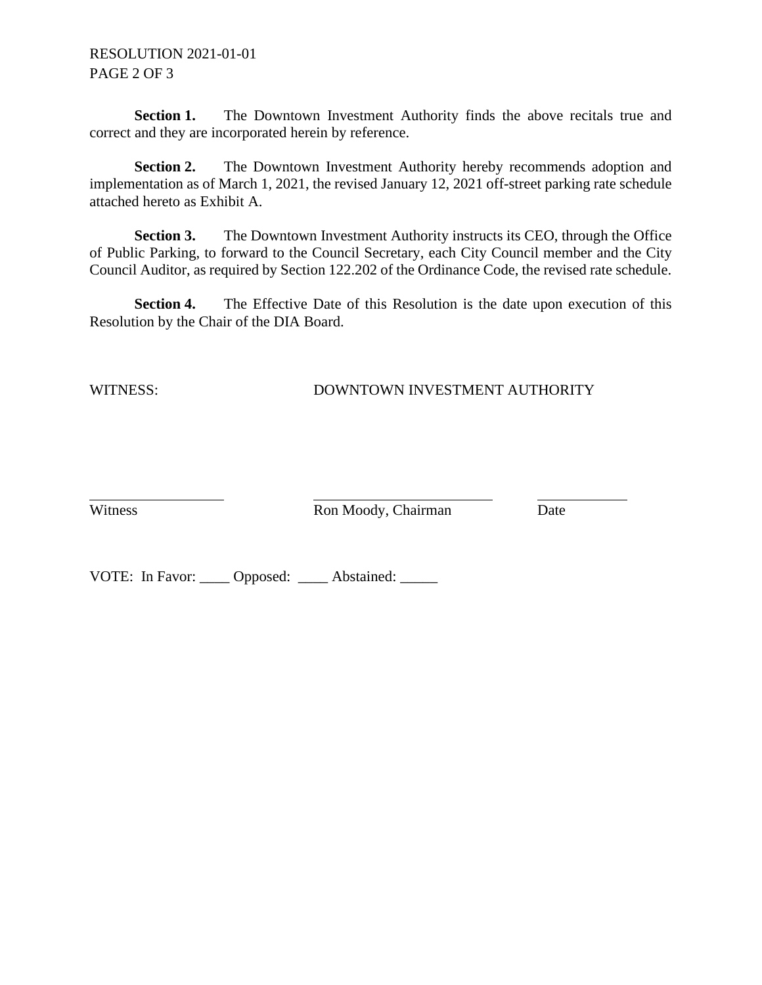RESOLUTION 2021-01-01 PAGE 2 OF 3

**Section 1.** The Downtown Investment Authority finds the above recitals true and correct and they are incorporated herein by reference.

**Section 2.** The Downtown Investment Authority hereby recommends adoption and implementation as of March 1, 2021, the revised January 12, 2021 off-street parking rate schedule attached hereto as Exhibit A.

**Section 3.** The Downtown Investment Authority instructs its CEO, through the Office of Public Parking, to forward to the Council Secretary, each City Council member and the City Council Auditor, as required by Section 122.202 of the Ordinance Code, the revised rate schedule.

**Section 4.** The Effective Date of this Resolution is the date upon execution of this Resolution by the Chair of the DIA Board.

## WITNESS: DOWNTOWN INVESTMENT AUTHORITY

Witness **Ron Moody**, Chairman Date

VOTE: In Favor: \_\_\_\_ Opposed: \_\_\_\_ Abstained: \_\_\_\_\_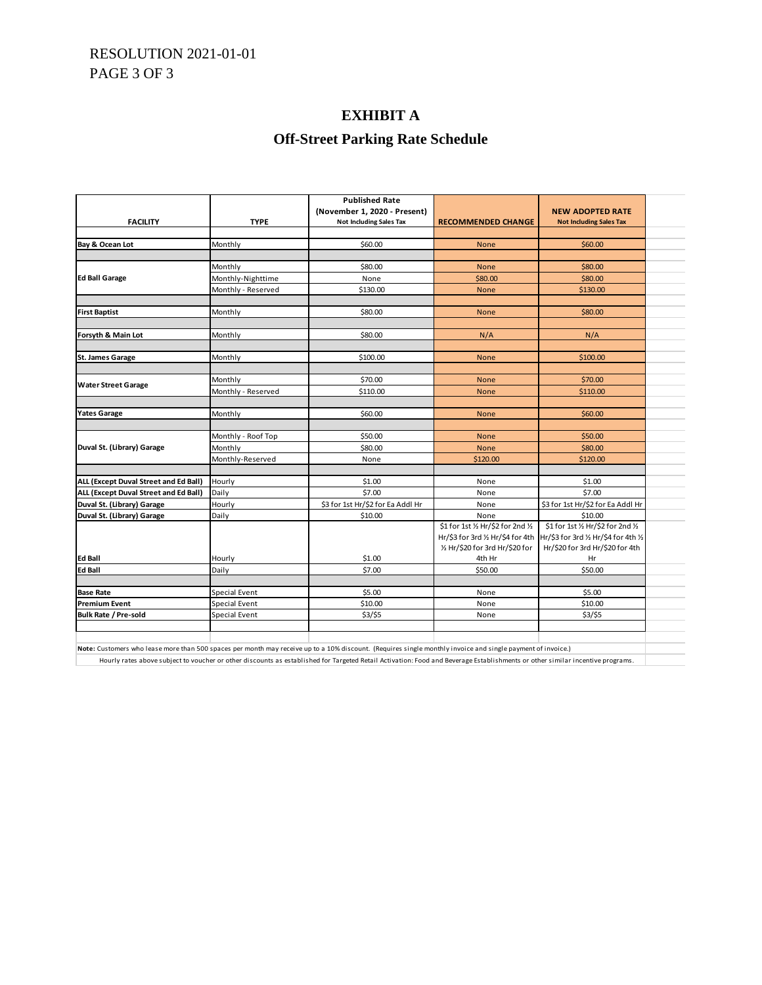# RESOLUTION 2021-01-01 PAGE 3 OF 3

## **EXHIBIT A**

# **Off-Street Parking Rate Schedule**

| <b>Published Rate</b>                 |                    |                                   |                                    |                                       |  |  |  |
|---------------------------------------|--------------------|-----------------------------------|------------------------------------|---------------------------------------|--|--|--|
|                                       |                    | (November 1, 2020 - Present)      |                                    | <b>NEW ADOPTED RATE</b>               |  |  |  |
| <b>FACILITY</b>                       | <b>TYPE</b>        | <b>Not Including Sales Tax</b>    | <b>RECOMMENDED CHANGE</b>          | <b>Not Including Sales Tax</b>        |  |  |  |
|                                       |                    |                                   |                                    |                                       |  |  |  |
| Bay & Ocean Lot                       | Monthly            | \$60.00                           | <b>None</b>                        | \$60.00                               |  |  |  |
|                                       |                    |                                   |                                    |                                       |  |  |  |
|                                       | Monthly            | \$80.00                           | <b>None</b>                        | \$80.00                               |  |  |  |
| <b>Ed Ball Garage</b>                 | Monthly-Nighttime  | None                              | \$80.00                            | \$80.00                               |  |  |  |
|                                       | Monthly - Reserved | \$130.00                          | <b>None</b>                        | \$130.00                              |  |  |  |
|                                       |                    |                                   |                                    |                                       |  |  |  |
| <b>First Baptist</b>                  | Monthly            | \$80.00                           | <b>None</b>                        | \$80.00                               |  |  |  |
|                                       |                    |                                   |                                    |                                       |  |  |  |
| Forsyth & Main Lot                    | Monthly            | \$80.00                           | N/A                                | N/A                                   |  |  |  |
|                                       |                    |                                   |                                    |                                       |  |  |  |
| <b>St. James Garage</b>               | Monthly            | \$100.00                          | None                               | \$100.00                              |  |  |  |
|                                       |                    |                                   |                                    |                                       |  |  |  |
|                                       | Monthly            | \$70.00                           | <b>None</b>                        | \$70.00                               |  |  |  |
| <b>Water Street Garage</b>            | Monthly - Reserved | \$110.00                          | None                               | \$110.00                              |  |  |  |
|                                       |                    |                                   |                                    |                                       |  |  |  |
| <b>Yates Garage</b>                   | Monthly            | \$60.00                           | <b>None</b>                        | \$60.00                               |  |  |  |
|                                       |                    |                                   |                                    |                                       |  |  |  |
|                                       | Monthly - Roof Top | \$50.00                           | None                               | \$50.00                               |  |  |  |
| Duval St. (Library) Garage            | Monthly            | \$80.00                           | <b>None</b>                        | \$80.00                               |  |  |  |
|                                       | Monthly-Reserved   | None                              | \$120.00                           | \$120.00                              |  |  |  |
|                                       |                    |                                   |                                    |                                       |  |  |  |
| ALL (Except Duval Street and Ed Ball) | Hourly             | \$1.00                            | None                               | \$1.00                                |  |  |  |
| ALL (Except Duval Street and Ed Ball) | Daily              | \$7.00                            | None                               | \$7.00                                |  |  |  |
| Duval St. (Library) Garage            | Hourly             | \$3 for 1st Hr/\$2 for Ea Addl Hr | None                               | \$3 for 1st Hr/\$2 for Ea Addl Hr     |  |  |  |
| Duval St. (Library) Garage            | Daily              | \$10.00                           | None                               | \$10.00                               |  |  |  |
|                                       |                    |                                   | \$1 for 1st 1/2 Hr/\$2 for 2nd 1/2 | \$1 for 1st 1/2 Hr/\$2 for 2nd 1/2    |  |  |  |
|                                       |                    |                                   | Hr/\$3 for 3rd 1/2 Hr/\$4 for 4th  | Hr/\$3 for 3rd 1/2 Hr/\$4 for 4th 1/2 |  |  |  |
|                                       |                    |                                   | 1/2 Hr/\$20 for 3rd Hr/\$20 for    | Hr/\$20 for 3rd Hr/\$20 for 4th       |  |  |  |
| <b>Ed Ball</b>                        | Hourly             | \$1.00                            | 4th Hr                             | Hr                                    |  |  |  |
| Ed Ball                               | Daily              | \$7.00                            | \$50.00                            | \$50.00                               |  |  |  |
|                                       |                    |                                   |                                    |                                       |  |  |  |
| <b>Base Rate</b>                      | Special Event      | \$5.00                            | None                               | \$5.00                                |  |  |  |
| <b>Premium Event</b>                  | Special Event      | \$10.00                           | None                               | \$10.00                               |  |  |  |
|                                       |                    |                                   |                                    | \$3/\$5                               |  |  |  |

**Note:** Customers who lease more than 500 spaces per month may receive up to a 10% discount. (Requires single monthly invoice and single payment of invoice.)

Hourly rates above subject to voucher or other discounts as established for Targeted Retail Activation: Food and Beverage Establishments or other similar incentive programs.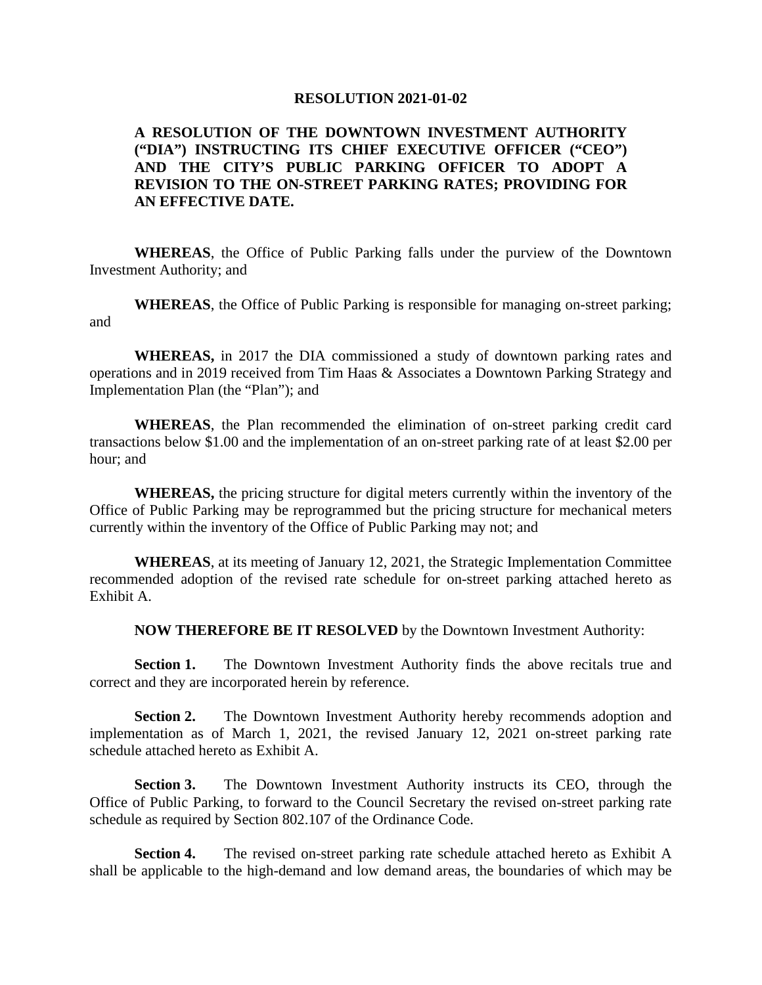#### **RESOLUTION 2021-01-02**

## **A RESOLUTION OF THE DOWNTOWN INVESTMENT AUTHORITY ("DIA") INSTRUCTING ITS CHIEF EXECUTIVE OFFICER ("CEO") AND THE CITY'S PUBLIC PARKING OFFICER TO ADOPT A REVISION TO THE ON-STREET PARKING RATES; PROVIDING FOR AN EFFECTIVE DATE.**

**WHEREAS**, the Office of Public Parking falls under the purview of the Downtown Investment Authority; and

**WHEREAS**, the Office of Public Parking is responsible for managing on-street parking; and

**WHEREAS,** in 2017 the DIA commissioned a study of downtown parking rates and operations and in 2019 received from Tim Haas & Associates a Downtown Parking Strategy and Implementation Plan (the "Plan"); and

**WHEREAS**, the Plan recommended the elimination of on-street parking credit card transactions below \$1.00 and the implementation of an on-street parking rate of at least \$2.00 per hour; and

**WHEREAS,** the pricing structure for digital meters currently within the inventory of the Office of Public Parking may be reprogrammed but the pricing structure for mechanical meters currently within the inventory of the Office of Public Parking may not; and

**WHEREAS**, at its meeting of January 12, 2021, the Strategic Implementation Committee recommended adoption of the revised rate schedule for on-street parking attached hereto as Exhibit A.

**NOW THEREFORE BE IT RESOLVED** by the Downtown Investment Authority:

**Section 1.** The Downtown Investment Authority finds the above recitals true and correct and they are incorporated herein by reference.

**Section 2.** The Downtown Investment Authority hereby recommends adoption and implementation as of March 1, 2021, the revised January 12, 2021 on-street parking rate schedule attached hereto as Exhibit A.

**Section 3.** The Downtown Investment Authority instructs its CEO, through the Office of Public Parking, to forward to the Council Secretary the revised on-street parking rate schedule as required by Section 802.107 of the Ordinance Code.

**Section 4.** The revised on-street parking rate schedule attached hereto as Exhibit A shall be applicable to the high-demand and low demand areas, the boundaries of which may be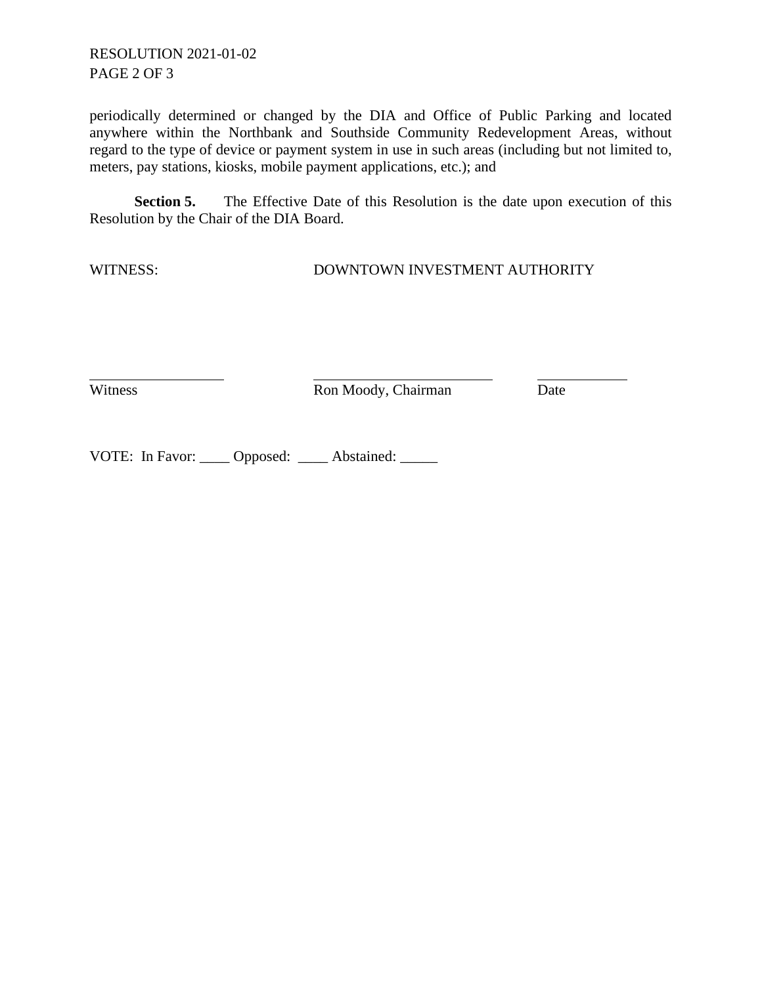# RESOLUTION 2021-01-02 PAGE 2 OF 3

periodically determined or changed by the DIA and Office of Public Parking and located anywhere within the Northbank and Southside Community Redevelopment Areas, without regard to the type of device or payment system in use in such areas (including but not limited to, meters, pay stations, kiosks, mobile payment applications, etc.); and

**Section 5.** The Effective Date of this Resolution is the date upon execution of this Resolution by the Chair of the DIA Board.

WITNESS: DOWNTOWN INVESTMENT AUTHORITY

Witness Ron Moody, Chairman Date

VOTE: In Favor: \_\_\_\_ Opposed: \_\_\_\_ Abstained: \_\_\_\_\_